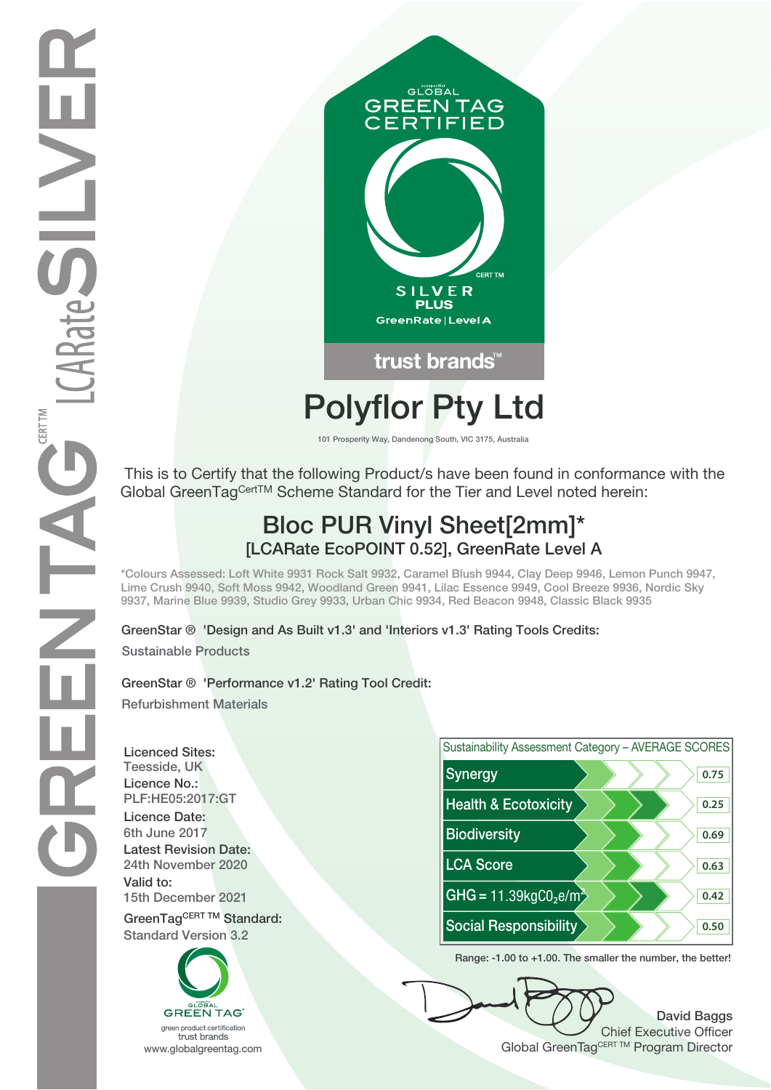

# **Polyflor Pty Ltd**

**101 Prosperity Way, Dandenong South, VIC 3175, Australia**

 This is to Certify that the following Product/s have been found in conformance with the Global GreenTag<sup>Cert™</sup> Scheme Standard for the Tier and Level noted herein:

## **Bloc PUR Vinyl Sheet[2mm]\* [LCARate EcoPOINT 0.52], GreenRate Level A**

**\*Colours Assessed: Loft White 9931 Rock Salt 9932, Caramel Blush 9944, Clay Deep 9946, Lemon Punch 9947, Lime Crush 9940, Soft Moss 9942, Woodland Green 9941, Lilac Essence 9949, Cool Breeze 9936, Nordic Sky 9937, Marine Blue 9939, Studio Grey 9933, Urban Chic 9934, Red Beacon 9948, Classic Black 9935**

**GreenStar ® 'Design and As Built v1.3' and 'Interiors v1.3' Rating Tools Credits:**

**Sustainable Products**

### **GreenStar ® 'Performance v1.2' Rating Tool Credit:**

**Refurbishment Materials**

**Licenced Sites: Licence No.: Licence Date: Latest Revision Date: Valid to:**





**Range: -1.00 to +1.00. The smaller the number, the better!**

**David Baggs** Chief Executive Officer WWW.globalgreentag.com **Program Director** Clobal GreenTagCERT TM Program Director